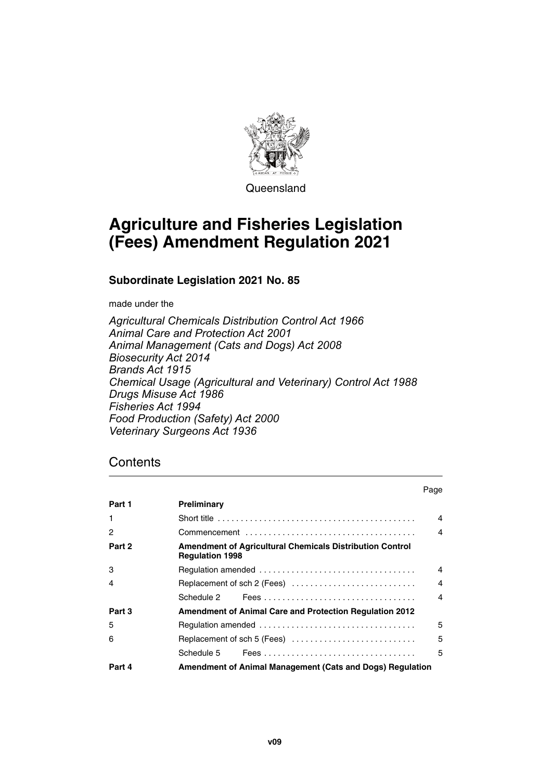

Queensland

# **Agriculture and Fisheries Legislation (Fees) Amendment Regulation 2021**

**Subordinate Legislation 2021 No. 85**

made under the

*Agricultural Chemicals Distribution Control Act 1966 Animal Care and Protection Act 2001 Animal Management (Cats and Dogs) Act 2008 Biosecurity Act 2014 Brands Act 1915 Chemical Usage (Agricultural and Veterinary) Control Act 1988 Drugs Misuse Act 1986 Fisheries Act 1994 Food Production (Safety) Act 2000 Veterinary Surgeons Act 1936*

### **Contents**

|        |                                                                                           | ı ay <del>c</del>      |
|--------|-------------------------------------------------------------------------------------------|------------------------|
| Part 1 | Preliminary                                                                               |                        |
| -1     |                                                                                           | $\boldsymbol{\Lambda}$ |
| 2      |                                                                                           | $\overline{4}$         |
| Part 2 | <b>Amendment of Agricultural Chemicals Distribution Control</b><br><b>Regulation 1998</b> |                        |
| 3      |                                                                                           | $\boldsymbol{\Lambda}$ |
| 4      |                                                                                           | $\overline{4}$         |
|        |                                                                                           | $\overline{4}$         |
| Part 3 | <b>Amendment of Animal Care and Protection Regulation 2012</b>                            |                        |
| 5      |                                                                                           | 5                      |
| 6      | Replacement of sch 5 (Fees)                                                               | 5                      |
|        |                                                                                           | 5                      |
| Part 4 | Amendment of Animal Management (Cats and Dogs) Regulation                                 |                        |

Page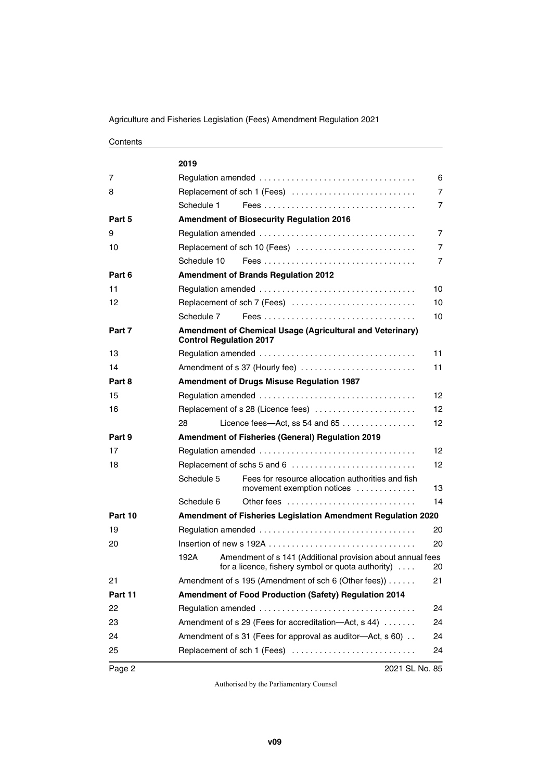Agriculture and Fisheries Legislation (Fees) Amendment Regulation 2021

#### **Contents**

|         | 2019                           |                                                                                                                         |                |
|---------|--------------------------------|-------------------------------------------------------------------------------------------------------------------------|----------------|
| 7       |                                |                                                                                                                         | 6              |
| 8       |                                | Replacement of sch 1 (Fees)                                                                                             | $\overline{7}$ |
|         | Schedule 1                     |                                                                                                                         | $\overline{7}$ |
| Part 5  |                                | <b>Amendment of Biosecurity Regulation 2016</b>                                                                         |                |
| 9       |                                |                                                                                                                         | $\overline{7}$ |
| 10      |                                | Replacement of sch 10 (Fees)                                                                                            | $\overline{7}$ |
|         | Schedule 10                    |                                                                                                                         | $\overline{7}$ |
| Part 6  |                                | <b>Amendment of Brands Regulation 2012</b>                                                                              |                |
| 11      |                                |                                                                                                                         | 10             |
| 12      |                                | Replacement of sch 7 (Fees)                                                                                             | 10             |
|         | Schedule 7                     |                                                                                                                         | 10             |
| Part 7  | <b>Control Regulation 2017</b> | <b>Amendment of Chemical Usage (Agricultural and Veterinary)</b>                                                        |                |
| 13      |                                |                                                                                                                         | 11             |
| 14      |                                | Amendment of s 37 (Hourly fee)                                                                                          | 11             |
| Part 8  |                                | <b>Amendment of Drugs Misuse Regulation 1987</b>                                                                        |                |
| 15      |                                |                                                                                                                         | 12             |
| 16      |                                | Replacement of s 28 (Licence fees)                                                                                      | 12             |
|         | 28                             | Licence fees-Act, ss 54 and 65                                                                                          | 12             |
| Part 9  |                                | <b>Amendment of Fisheries (General) Regulation 2019</b>                                                                 |                |
| 17      |                                |                                                                                                                         | 12             |
| 18      |                                | Replacement of schs 5 and 6                                                                                             | 12             |
|         | Schedule 5                     | Fees for resource allocation authorities and fish<br>movement exemption notices                                         | 13             |
|         | Schedule 6                     | Other fees $\ldots \ldots \ldots \ldots \ldots \ldots \ldots \ldots$                                                    | 14             |
| Part 10 |                                | Amendment of Fisheries Legislation Amendment Regulation 2020                                                            |                |
| 19      |                                |                                                                                                                         | 20             |
| 20      |                                | Insertion of new s 192A $\ldots$ , $\ldots$ , $\ldots$ , $\ldots$ , $\ldots$ , $\ldots$ , $\ldots$ , $\ldots$           | 20             |
|         | 192A                           | Amendment of s 141 (Additional provision about annual fees<br>for a licence, fishery symbol or quota authority) $\dots$ | 20             |
| 21      |                                | Amendment of s 195 (Amendment of sch 6 (Other fees))                                                                    | 21             |
| Part 11 |                                | Amendment of Food Production (Safety) Regulation 2014                                                                   |                |
| 22      |                                |                                                                                                                         | 24             |
| 23      |                                | Amendment of s 29 (Fees for accreditation-Act, s 44)                                                                    | 24             |
| 24      |                                | Amendment of s 31 (Fees for approval as auditor-Act, s 60).                                                             | 24             |
| 25      |                                | Replacement of sch 1 (Fees)                                                                                             | 24             |
| Page 2  |                                | 2021 SL No. 85                                                                                                          |                |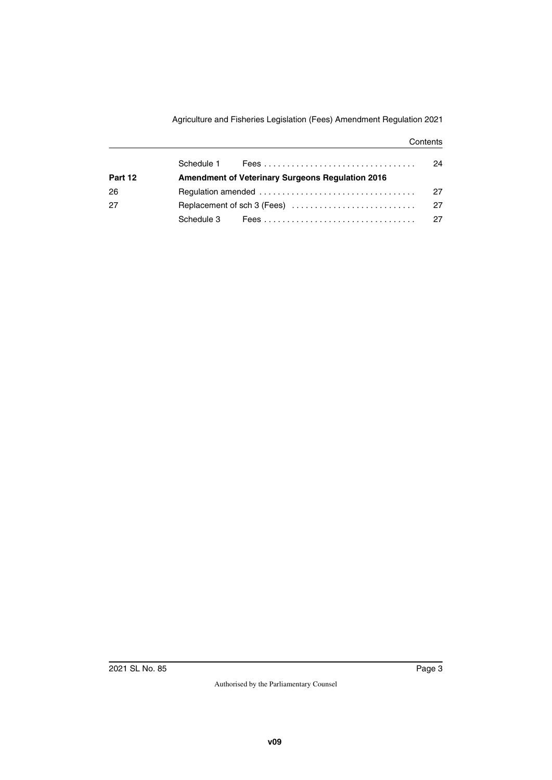Agriculture and Fisheries Legislation (Fees) Amendment Regulation 2021

#### **Contents**

|         |                                                         | 24  |
|---------|---------------------------------------------------------|-----|
| Part 12 | <b>Amendment of Veterinary Surgeons Regulation 2016</b> |     |
| 26      |                                                         |     |
| 27      |                                                         | -27 |
|         | Schedule 3 Fees expressions are accessoring to the      | 27  |
|         |                                                         |     |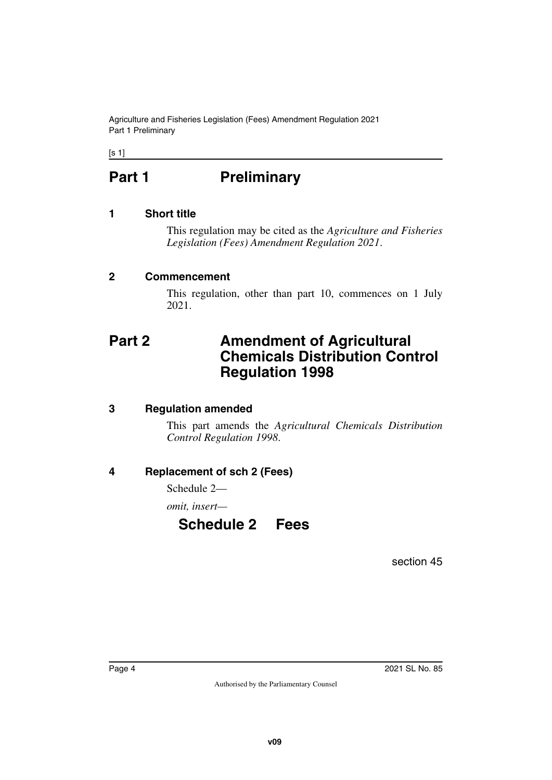Agriculture and Fisheries Legislation (Fees) Amendment Regulation 2021 Part 1 Preliminary

<span id="page-3-0"></span> $[s 1]$ 

# Part 1 **Preliminary**

#### <span id="page-3-2"></span>**1 Short title**

<span id="page-3-3"></span><span id="page-3-1"></span>This regulation may be cited as the *Agriculture and Fisheries Legislation (Fees) Amendment Regulation 2021*.

#### <span id="page-3-4"></span>**2 Commencement**

<span id="page-3-7"></span><span id="page-3-5"></span>This regulation, other than part 10, commences on 1 July 2021.

### <span id="page-3-6"></span>**Part 2 Amendment of Agricultural Chemicals Distribution Control Regulation 1998**

#### <span id="page-3-8"></span>**3 Regulation amended**

<span id="page-3-9"></span>This part amends the *Agricultural Chemicals Distribution Control Regulation 1998*.

#### <span id="page-3-10"></span>**4 Replacement of sch 2 (Fees)**

<span id="page-3-11"></span>Schedule 2—

<span id="page-3-12"></span>*omit, insert—*

### <span id="page-3-13"></span>**Schedule 2 Fees**

section 45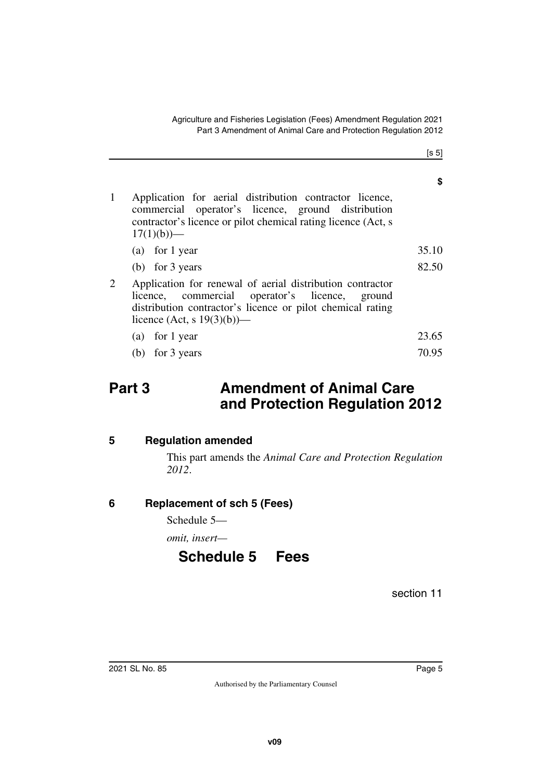[s 5]

**\$**

| Application for aerial distribution contractor licence,<br>commercial operator's licence, ground distribution<br>contractor's licence or pilot chemical rating licence (Act, s<br>$17(1)(b)$ —             |       |
|------------------------------------------------------------------------------------------------------------------------------------------------------------------------------------------------------------|-------|
| (a) for 1 year                                                                                                                                                                                             | 35.10 |
| (b) for $3$ years                                                                                                                                                                                          | 82.50 |
| Application for renewal of aerial distribution contractor<br>licence, commercial operator's licence, ground<br>distribution contractor's licence or pilot chemical rating<br>licence (Act, s $19(3)(b)$ )— |       |
| (a) for 1 year                                                                                                                                                                                             | 23.65 |
| (b) for $3$ years                                                                                                                                                                                          | 70.95 |
|                                                                                                                                                                                                            |       |

### <span id="page-4-0"></span>**Part 3 Amendment of Animal Care and Protection Regulation 2012**

#### <span id="page-4-2"></span>**5 Regulation amended**

<span id="page-4-3"></span><span id="page-4-1"></span>This part amends the *Animal Care and Protection Regulation 2012*.

#### <span id="page-4-4"></span>**6 Replacement of sch 5 (Fees)**

<span id="page-4-5"></span>Schedule 5—

<span id="page-4-6"></span>*omit, insert—*

### <span id="page-4-7"></span>**Schedule 5 Fees**

section 11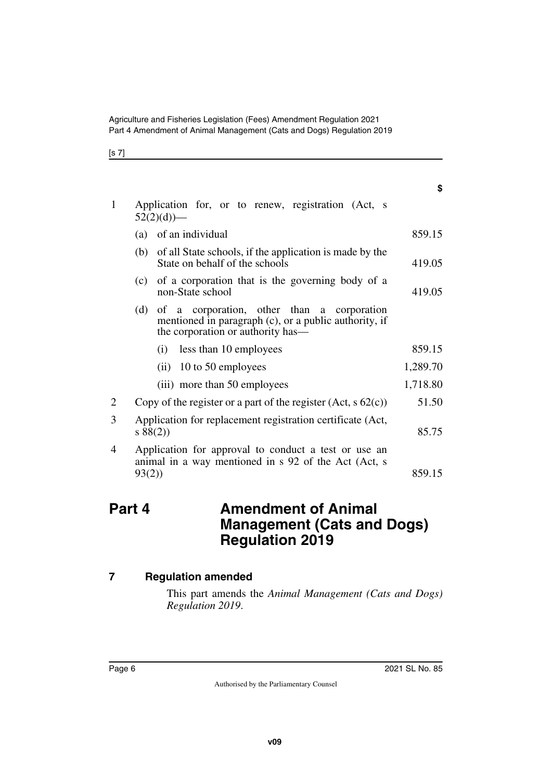| ۰.<br>×<br>۰.<br>v<br>. . |  |
|---------------------------|--|
|---------------------------|--|

| $\mathbf{1}$   | Application for, or to renew, registration (Act, s<br>$52(2)(d)$ —                                                                              |          |
|----------------|-------------------------------------------------------------------------------------------------------------------------------------------------|----------|
|                | (a) of an individual                                                                                                                            | 859.15   |
|                | of all State schools, if the application is made by the<br>(b)<br>State on behalf of the schools                                                | 419.05   |
|                | of a corporation that is the governing body of a<br>(c)<br>non-State school                                                                     | 419.05   |
|                | of a corporation, other than a corporation<br>(d)<br>mentioned in paragraph (c), or a public authority, if<br>the corporation or authority has— |          |
|                | (i) less than 10 employees                                                                                                                      | 859.15   |
|                | $(ii)$ 10 to 50 employees                                                                                                                       | 1,289.70 |
|                | (iii) more than 50 employees                                                                                                                    | 1,718.80 |
| $\overline{2}$ | Copy of the register or a part of the register $(Act, s62(c))$                                                                                  | 51.50    |
| 3              | Application for replacement registration certificate (Act,<br>s 88(2)                                                                           | 85.75    |
| 4              | Application for approval to conduct a test or use an<br>animal in a way mentioned in s 92 of the Act (Act, s                                    |          |
|                | 93(2)                                                                                                                                           | 859.15   |

### <span id="page-5-1"></span><span id="page-5-0"></span>**Part 4 Amendment of Animal Management (Cats and Dogs) Regulation 2019**

### <span id="page-5-2"></span>**7 Regulation amended**

<span id="page-5-3"></span>This part amends the *Animal Management (Cats and Dogs) Regulation 2019*.

**\$**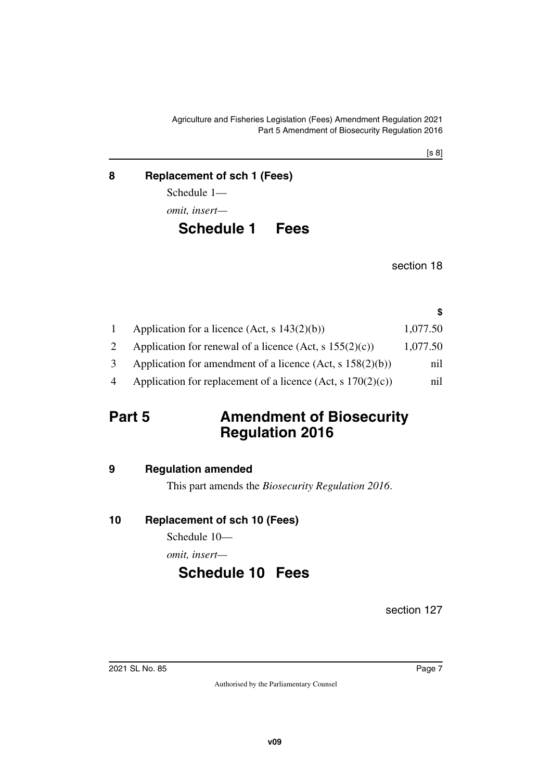#### <span id="page-6-0"></span>**8 Replacement of sch 1 (Fees)**

<span id="page-6-1"></span>Schedule 1—

*omit, insert—*

### <span id="page-6-3"></span><span id="page-6-2"></span>**Schedule 1 Fees**

section 18

**\$**

|   | Application for a licence (Act, s $143(2)(b)$ )                | 1,077.50 |
|---|----------------------------------------------------------------|----------|
|   | Application for renewal of a licence (Act, s $155(2)(c)$ )     | 1,077.50 |
|   | Application for amendment of a licence $(Act, s 158(2)(b))$    | nil      |
| 4 | Application for replacement of a licence (Act, s $170(2)(c)$ ) | nil      |

### <span id="page-6-4"></span>**Part 5** Amendment of Biosecurity **Regulation 2016**

### <span id="page-6-6"></span>**9 Regulation amended**

<span id="page-6-9"></span><span id="page-6-7"></span><span id="page-6-5"></span>This part amends the *Biosecurity Regulation 2016*.

### <span id="page-6-8"></span>**10 Replacement of sch 10 (Fees)**

Schedule 10—

*omit, insert—*

## <span id="page-6-11"></span><span id="page-6-10"></span>**Schedule 10 Fees**

section 127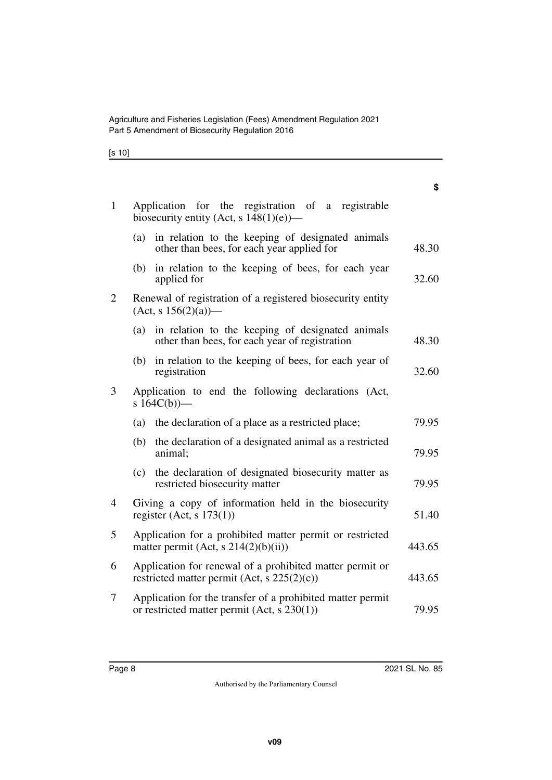[s 10]

|                |     |                                                                                                           | \$     |
|----------------|-----|-----------------------------------------------------------------------------------------------------------|--------|
| $\mathbf{1}$   |     | Application for the registration of a registrable<br>biosecurity entity (Act, s $148(1)(e)$ )—            |        |
|                | (a) | in relation to the keeping of designated animals<br>other than bees, for each year applied for            | 48.30  |
|                | (b) | in relation to the keeping of bees, for each year<br>applied for                                          | 32.60  |
| $\overline{2}$ |     | Renewal of registration of a registered biosecurity entity<br>$(Act, s 156(2)(a))$ —                      |        |
|                | (a) | in relation to the keeping of designated animals<br>other than bees, for each year of registration        | 48.30  |
|                | (b) | in relation to the keeping of bees, for each year of<br>registration                                      | 32.60  |
| 3              |     | Application to end the following declarations (Act,<br>s $164C(b)$ )—                                     |        |
|                |     | (a) the declaration of a place as a restricted place;                                                     | 79.95  |
|                | (b) | the declaration of a designated animal as a restricted<br>animal;                                         | 79.95  |
|                |     | (c) the declaration of designated biosecurity matter as<br>restricted biosecurity matter                  | 79.95  |
| $\overline{4}$ |     | Giving a copy of information held in the biosecurity<br>register (Act, s $173(1)$ )                       | 51.40  |
| 5              |     | Application for a prohibited matter permit or restricted<br>matter permit $(Act, s\ 214(2)(b)(ii))$       | 443.65 |
| 6              |     | Application for renewal of a prohibited matter permit or<br>restricted matter permit (Act, s 225(2)(c))   | 443.65 |
| 7              |     | Application for the transfer of a prohibited matter permit<br>or restricted matter permit (Act, s 230(1)) | 79.95  |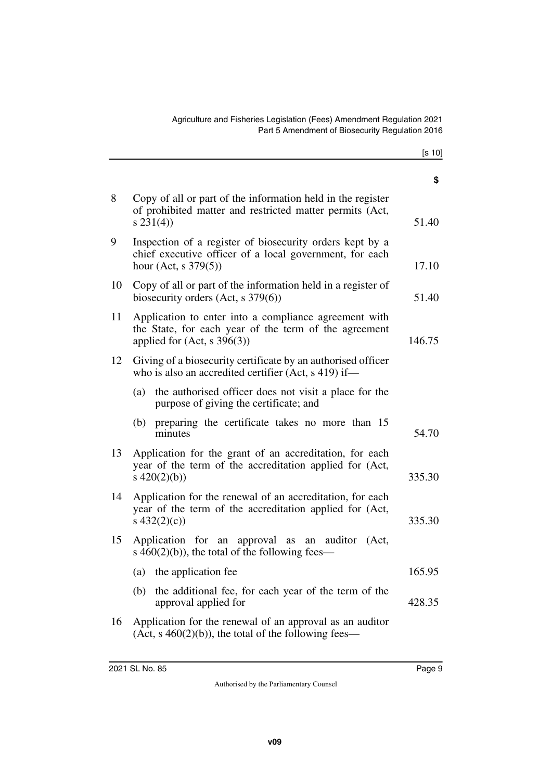|    |                                                                                                                                                   | \$     |
|----|---------------------------------------------------------------------------------------------------------------------------------------------------|--------|
| 8  | Copy of all or part of the information held in the register<br>of prohibited matter and restricted matter permits (Act,<br>$s\,231(4))$           | 51.40  |
| 9  | Inspection of a register of biosecurity orders kept by a<br>chief executive officer of a local government, for each<br>hour (Act, s $379(5)$ )    | 17.10  |
| 10 | Copy of all or part of the information held in a register of<br>biosecurity orders $(Act, s 379(6))$                                              | 51.40  |
| 11 | Application to enter into a compliance agreement with<br>the State, for each year of the term of the agreement<br>applied for $(Act, s \ 396(3))$ | 146.75 |
| 12 | Giving of a biosecurity certificate by an authorised officer<br>who is also an accredited certifier (Act, s 419) if—                              |        |
|    | the authorised officer does not visit a place for the<br>(a)<br>purpose of giving the certificate; and                                            |        |
|    | preparing the certificate takes no more than 15<br>(b)<br>minutes                                                                                 | 54.70  |
| 13 | Application for the grant of an accreditation, for each<br>year of the term of the accreditation applied for (Act,<br>s $420(2)(b)$               | 335.30 |
| 14 | Application for the renewal of an accreditation, for each<br>year of the term of the accreditation applied for (Act,<br>s $432(2)(c)$             | 335.30 |
| 15 | Application for an approval as<br>an auditor<br>(Act,<br>s $460(2)(b)$ , the total of the following fees—                                         |        |
|    | (a) the application fee                                                                                                                           | 165.95 |
|    | the additional fee, for each year of the term of the<br>(b)<br>approval applied for                                                               | 428.35 |
| 16 | Application for the renewal of an approval as an auditor<br>$(Act, s 460(2)(b))$ , the total of the following fees—                               |        |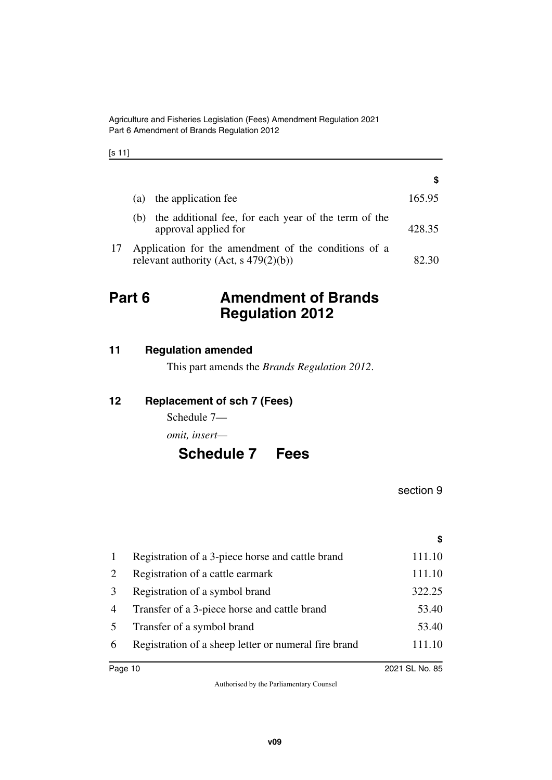[s 11]

|    |     |                                                                                                  | S      |
|----|-----|--------------------------------------------------------------------------------------------------|--------|
|    | (a) | the application fee                                                                              | 165.95 |
|    | (b) | the additional fee, for each year of the term of the<br>approval applied for                     | 428.35 |
| 17 |     | Application for the amendment of the conditions of a<br>relevant authority (Act, s $479(2)(b)$ ) |        |

### <span id="page-9-0"></span>**Part 6 Amendment of Brands Regulation 2012**

<span id="page-9-2"></span>

| 11 | <b>Regulation amended</b> |  |
|----|---------------------------|--|
|    |                           |  |

<span id="page-9-3"></span><span id="page-9-1"></span>This part amends the *Brands Regulation 2012*.

#### <span id="page-9-4"></span>**12 Replacement of sch 7 (Fees)**

<span id="page-9-5"></span>Schedule 7—

*omit, insert—*

### <span id="page-9-7"></span><span id="page-9-6"></span>**Schedule 7 Fees**

section 9

**\$**

| $\mathbf{1}$   | Registration of a 3-piece horse and cattle brand     | 111.10 |
|----------------|------------------------------------------------------|--------|
| 2              | Registration of a cattle earmark                     | 111.10 |
| 3              | Registration of a symbol brand                       | 322.25 |
| $\overline{4}$ | Transfer of a 3-piece horse and cattle brand         | 53.40  |
| 5 <sup>5</sup> | Transfer of a symbol brand                           | 53.40  |
| 6              | Registration of a sheep letter or numeral fire brand | 111.10 |
|                |                                                      |        |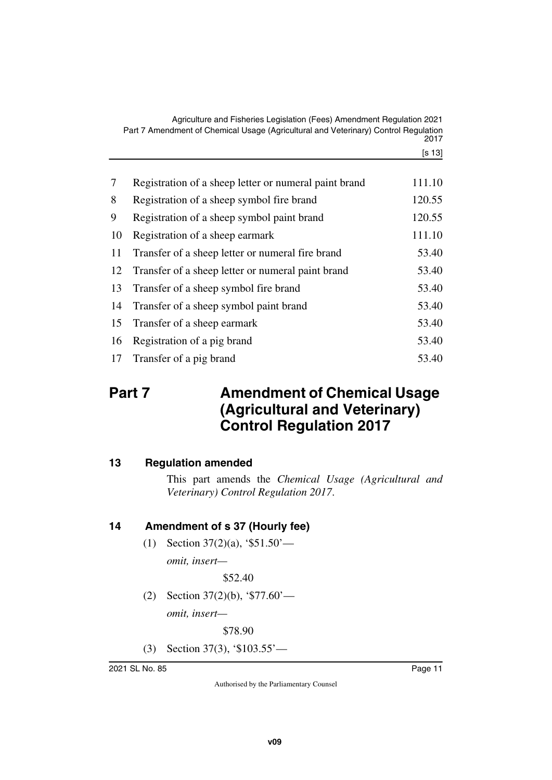Agriculture and Fisheries Legislation (Fees) Amendment Regulation 2021 Part 7 Amendment of Chemical Usage (Agricultural and Veterinary) Control Regulation 2017

[s 13]

| $\tau$ | Registration of a sheep letter or numeral paint brand | 111.10 |
|--------|-------------------------------------------------------|--------|
| 8      | Registration of a sheep symbol fire brand             | 120.55 |
| 9      | Registration of a sheep symbol paint brand            | 120.55 |
| 10     | Registration of a sheep earmark                       | 111.10 |
| 11     | Transfer of a sheep letter or numeral fire brand      | 53.40  |
| 12     | Transfer of a sheep letter or numeral paint brand     | 53.40  |
| 13     | Transfer of a sheep symbol fire brand                 | 53.40  |
| 14     | Transfer of a sheep symbol paint brand                | 53.40  |
| 15     | Transfer of a sheep earmark                           | 53.40  |
| 16     | Registration of a pig brand                           | 53.40  |
| 17     | Transfer of a pig brand                               | 53.40  |

## <span id="page-10-1"></span><span id="page-10-0"></span>**Part 7** Amendment of Chemical Usage **(Agricultural and Veterinary) Control Regulation 2017**

#### <span id="page-10-2"></span>**13 Regulation amended**

<span id="page-10-3"></span>This part amends the *Chemical Usage (Agricultural and Veterinary) Control Regulation 2017*.

### <span id="page-10-4"></span>**14 Amendment of s 37 (Hourly fee)**

<span id="page-10-5"></span>(1) Section 37(2)(a), '\$51.50' *omit, insert—*

\$52.40

(2) Section 37(2)(b), '\$77.60' *omit, insert—*

\$78.90

(3) Section 37(3), '\$103.55'—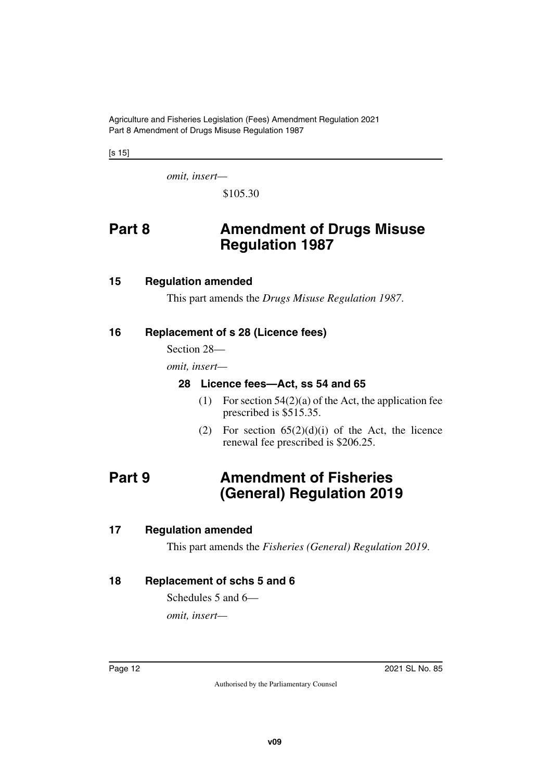Agriculture and Fisheries Legislation (Fees) Amendment Regulation 2021 Part 8 Amendment of Drugs Misuse Regulation 1987

[s 15]

*omit, insert—*

<span id="page-11-1"></span>\$105.30

### <span id="page-11-0"></span>**Part 8 Amendment of Drugs Misuse Regulation 1987**

#### <span id="page-11-2"></span>**15 Regulation amended**

<span id="page-11-5"></span><span id="page-11-3"></span>This part amends the *Drugs Misuse Regulation 1987*.

#### <span id="page-11-4"></span>**16 Replacement of s 28 (Licence fees)**

Section 28—

*omit, insert—*

#### <span id="page-11-7"></span><span id="page-11-6"></span>**28 Licence fees—Act, ss 54 and 65**

- (1) For section  $54(2)(a)$  of the Act, the application fee prescribed is \$515.35.
- <span id="page-11-9"></span>(2) For section  $65(2)(d)(i)$  of the Act, the licence renewal fee prescribed is \$206.25.

### <span id="page-11-8"></span>**Part 9 Amendment of Fisheries (General) Regulation 2019**

#### <span id="page-11-10"></span>**17 Regulation amended**

<span id="page-11-13"></span><span id="page-11-11"></span>This part amends the *Fisheries (General) Regulation 2019*.

#### <span id="page-11-12"></span>**18 Replacement of schs 5 and 6**

Schedules 5 and 6—

*omit, insert—*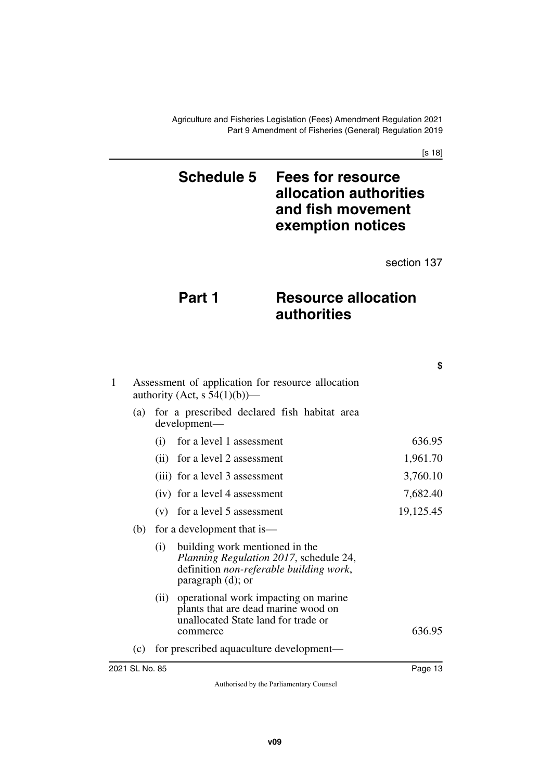[s 18]

### <span id="page-12-1"></span><span id="page-12-0"></span>**Schedule 5 Fees for resource allocation authorities and fish movement exemption notices**

section 137

**\$**

## **Part 1** Resource allocation **authorities**

| $\mathbf{1}$ | Assessment of application for resource allocation<br>authority (Act, s $54(1)(b)$ )— |                                                                                                                                                    |           |  |  |
|--------------|--------------------------------------------------------------------------------------|----------------------------------------------------------------------------------------------------------------------------------------------------|-----------|--|--|
|              | (a)                                                                                  | for a prescribed declared fish habitat area<br>development-                                                                                        |           |  |  |
|              |                                                                                      | for a level 1 assessment<br>(i)                                                                                                                    | 636.95    |  |  |
|              |                                                                                      | (ii) for a level 2 assessment                                                                                                                      | 1,961.70  |  |  |
|              |                                                                                      | (iii) for a level 3 assessment                                                                                                                     | 3,760.10  |  |  |
|              |                                                                                      | (iv) for a level 4 assessment                                                                                                                      | 7,682.40  |  |  |
|              |                                                                                      | $(v)$ for a level 5 assessment                                                                                                                     | 19,125.45 |  |  |
|              | (b)                                                                                  | for a development that is—                                                                                                                         |           |  |  |
|              |                                                                                      | building work mentioned in the<br>(i)<br>Planning Regulation 2017, schedule 24,<br>definition non-referable building work,<br>paragraph $(d)$ ; or |           |  |  |
|              |                                                                                      | operational work impacting on marine<br>(ii)<br>plants that are dead marine wood on<br>unallocated State land for trade or<br>commerce             | 636.95    |  |  |
|              | (c)                                                                                  | for prescribed aquaculture development—                                                                                                            |           |  |  |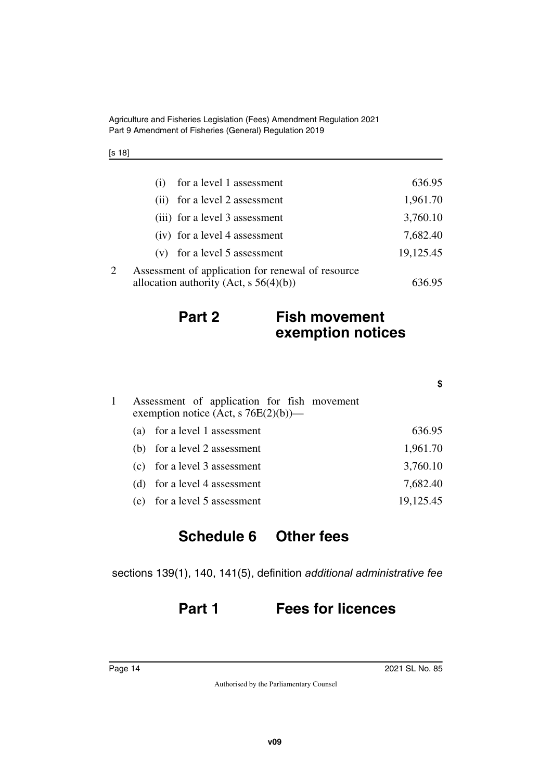Agriculture and Fisheries Legislation (Fees) Amendment Regulation 2021 Part 9 Amendment of Fisheries (General) Regulation 2019

| ł |  |
|---|--|
|---|--|

| for a level 1 assessment<br>(i)                   | 636.95    |
|---------------------------------------------------|-----------|
| for a level 2 assessment<br>(i)                   | 1,961.70  |
| (iii) for a level 3 assessment                    | 3,760.10  |
| (iv) for a level 4 assessment                     | 7,682.40  |
| for a level 5 assessment<br>(V)                   | 19,125.45 |
| Assessment of application for renewal of resource |           |
| allocation authority (Act, $s\ 56(4)(b)$ )        | 636.95    |

### **Part 2 Fish movement exemption notices**

| Assessment of application for fish movement<br>exemption notice (Act, s $76E(2)(b)$ )— |           |
|----------------------------------------------------------------------------------------|-----------|
| (a) for a level 1 assessment                                                           | 636.95    |
| (b) for a level 2 assessment                                                           | 1,961.70  |
| (c) for a level 3 assessment                                                           | 3,760.10  |
| (d) for a level 4 assessment                                                           | 7,682.40  |
| (e) for a level 5 assessment                                                           | 19,125.45 |

### <span id="page-13-1"></span><span id="page-13-0"></span>**Schedule 6 Other fees**

sections 139(1), 140, 141(5), definition *additional administrative fee*

### **Part 1 Fees for licences**

**\$**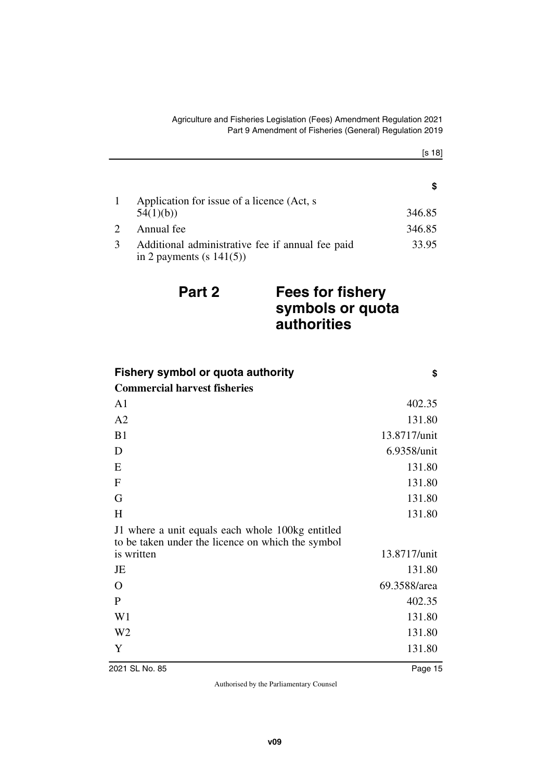|                       |                                                                                 | S.     |
|-----------------------|---------------------------------------------------------------------------------|--------|
|                       | Application for issue of a licence (Act, s)                                     |        |
|                       | 54(1)(b)                                                                        | 346.85 |
| $\mathcal{D}_{\cdot}$ | Annual fee                                                                      | 346.85 |
|                       | Additional administrative fee if annual fee paid<br>in 2 payments (s $141(5)$ ) | 33.95  |

### **Part 2 Fees for fishery symbols or quota authorities**

| <b>Fishery symbol or quota authority</b>                                                              | \$           |
|-------------------------------------------------------------------------------------------------------|--------------|
| <b>Commercial harvest fisheries</b>                                                                   |              |
| A1                                                                                                    | 402.35       |
| A2                                                                                                    | 131.80       |
| B1                                                                                                    | 13.8717/unit |
| D                                                                                                     | 6.9358/unit  |
| E                                                                                                     | 131.80       |
| ${\bf F}$                                                                                             | 131.80       |
| G                                                                                                     | 131.80       |
| H                                                                                                     | 131.80       |
| J1 where a unit equals each whole 100kg entitled<br>to be taken under the licence on which the symbol |              |
| is written                                                                                            | 13.8717/unit |
| JE                                                                                                    | 131.80       |
| O                                                                                                     | 69.3588/area |
| P                                                                                                     | 402.35       |
| W <sub>1</sub>                                                                                        | 131.80       |
| W <sub>2</sub>                                                                                        | 131.80       |
| Y                                                                                                     | 131.80       |
| 2021 SL No. 85                                                                                        | Page 15      |

[s 18]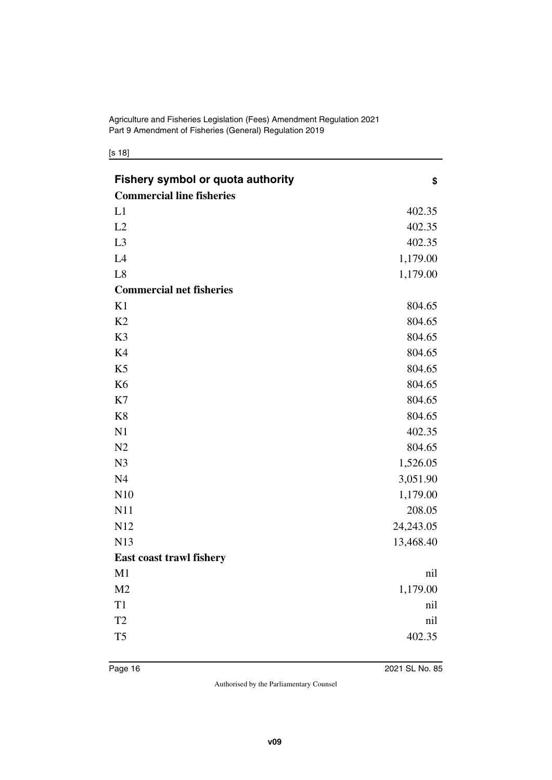[s 18]

| <b>Fishery symbol or quota authority</b><br><b>Commercial line fisheries</b> | \$        |
|------------------------------------------------------------------------------|-----------|
| L1                                                                           | 402.35    |
| L2                                                                           | 402.35    |
| L3                                                                           | 402.35    |
| L4                                                                           | 1,179.00  |
| L8                                                                           | 1,179.00  |
| <b>Commercial net fisheries</b>                                              |           |
| K1                                                                           | 804.65    |
| K2                                                                           | 804.65    |
| K3                                                                           | 804.65    |
| K4                                                                           | 804.65    |
| K <sub>5</sub>                                                               | 804.65    |
| K <sub>6</sub>                                                               | 804.65    |
| K7                                                                           | 804.65    |
| K <sub>8</sub>                                                               | 804.65    |
| N1                                                                           | 402.35    |
| N2                                                                           | 804.65    |
| N <sub>3</sub>                                                               | 1,526.05  |
| N <sub>4</sub>                                                               | 3,051.90  |
| N10                                                                          | 1,179.00  |
| N11                                                                          | 208.05    |
| N12                                                                          | 24,243.05 |
| N13                                                                          | 13,468.40 |
| <b>East coast trawl fishery</b>                                              |           |
| M1                                                                           | nil       |
| M <sub>2</sub>                                                               | 1,179.00  |
| T1                                                                           | nil       |
| T <sub>2</sub>                                                               | nil       |
| T <sub>5</sub>                                                               | 402.35    |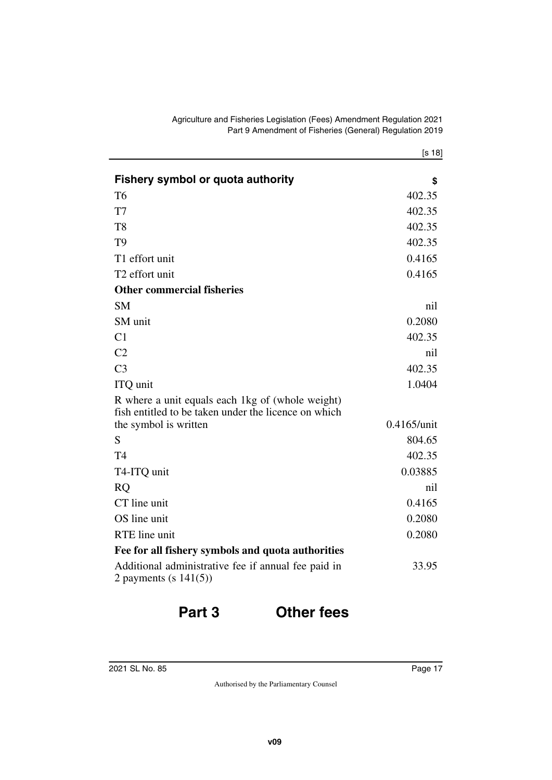|                                                                                                          | [s 18]         |
|----------------------------------------------------------------------------------------------------------|----------------|
| <b>Fishery symbol or quota authority</b>                                                                 | \$             |
| <b>T6</b>                                                                                                | 402.35         |
| T7                                                                                                       | 402.35         |
| T <sub>8</sub>                                                                                           | 402.35         |
| T <sub>9</sub>                                                                                           | 402.35         |
| T1 effort unit                                                                                           | 0.4165         |
| T <sub>2</sub> effort unit                                                                               | 0.4165         |
| <b>Other commercial fisheries</b>                                                                        |                |
| <b>SM</b>                                                                                                | nil            |
| SM unit                                                                                                  | 0.2080         |
| C1                                                                                                       | 402.35         |
| C <sub>2</sub>                                                                                           | nil            |
| C <sub>3</sub>                                                                                           | 402.35         |
| ITQ unit                                                                                                 | 1.0404         |
| R where a unit equals each 1kg of (whole weight)<br>fish entitled to be taken under the licence on which | $0.4165$ /unit |
| the symbol is written<br>S                                                                               | 804.65         |
| T <sub>4</sub>                                                                                           | 402.35         |
|                                                                                                          |                |
| T4-ITQ unit                                                                                              | 0.03885        |
| <b>RO</b>                                                                                                | nil            |
| CT line unit                                                                                             | 0.4165         |
| OS line unit                                                                                             | 0.2080         |
| RTE line unit                                                                                            | 0.2080         |
| Fee for all fishery symbols and quota authorities                                                        |                |
| Additional administrative fee if annual fee paid in<br>2 payments (s $141(5)$ )                          | 33.95          |

### **Part 3 Other fees**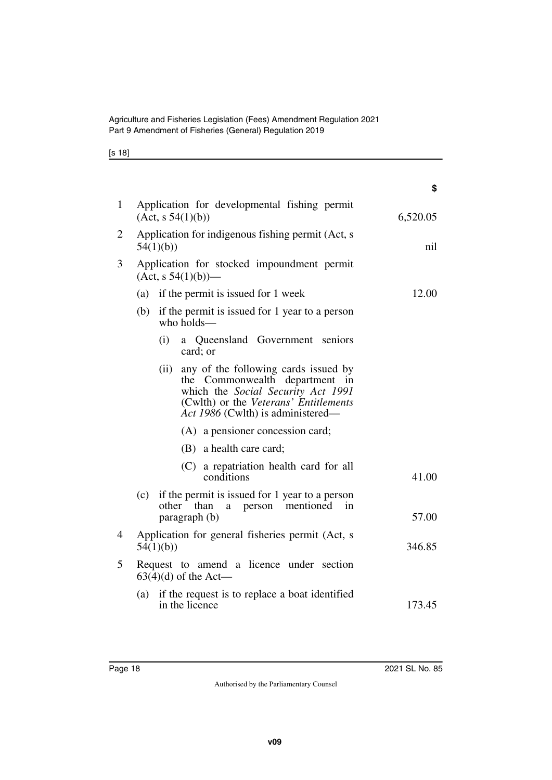| ۰. | ۰. |
|----|----|
|----|----|

|                |                                                                     |          |                                                                                                                                                                                               | \$       |
|----------------|---------------------------------------------------------------------|----------|-----------------------------------------------------------------------------------------------------------------------------------------------------------------------------------------------|----------|
| $\mathbf{1}$   | Application for developmental fishing permit<br>(Act, s 54(1)(b))   |          |                                                                                                                                                                                               | 6,520.05 |
| 2              |                                                                     | 54(1)(b) | Application for indigenous fishing permit (Act, s                                                                                                                                             | nil      |
| 3              | Application for stocked impoundment permit<br>$(Act, s 54(1)(b))$ — |          |                                                                                                                                                                                               |          |
|                |                                                                     |          | (a) if the permit is issued for 1 week                                                                                                                                                        | 12.00    |
|                | (b)                                                                 |          | if the permit is issued for 1 year to a person<br>who holds-                                                                                                                                  |          |
|                |                                                                     | (i)      | a Queensland Government seniors<br>card; or                                                                                                                                                   |          |
|                |                                                                     | (ii)     | any of the following cards issued by<br>the Commonwealth department<br>in<br>which the Social Security Act 1991<br>(Cwlth) or the Veterans' Entitlements<br>Act 1986 (Cwlth) is administered— |          |
|                |                                                                     |          | (A) a pensioner concession card;                                                                                                                                                              |          |
|                |                                                                     |          | (B) a health care card;                                                                                                                                                                       |          |
|                |                                                                     |          | (C) a repatriation health card for all<br>conditions                                                                                                                                          | 41.00    |
|                | (c)                                                                 | other    | if the permit is issued for 1 year to a person<br>than<br>person mentioned<br>in<br>$\mathbf{a}$<br>paragraph (b)                                                                             | 57.00    |
| $\overline{4}$ |                                                                     | 54(1)(b) | Application for general fisheries permit (Act, s                                                                                                                                              | 346.85   |
| 5              |                                                                     |          | Request to amend a licence under section<br>$63(4)(d)$ of the Act—                                                                                                                            |          |
|                | (a)                                                                 |          | if the request is to replace a boat identified<br>in the licence                                                                                                                              | 173.45   |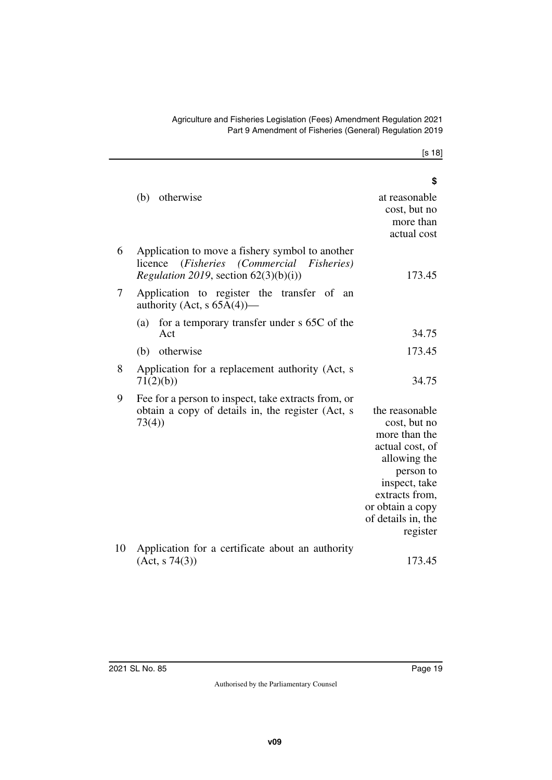[s 18]

|    |                                                                                                                                                | \$                                                                                                                                                                                       |
|----|------------------------------------------------------------------------------------------------------------------------------------------------|------------------------------------------------------------------------------------------------------------------------------------------------------------------------------------------|
|    | otherwise<br>(b)                                                                                                                               | at reasonable<br>cost, but no<br>more than<br>actual cost                                                                                                                                |
| 6  | Application to move a fishery symbol to another<br>licence (Fisheries (Commercial Fisheries)<br><i>Regulation 2019</i> , section $62(3)(b)(i)$ | 173.45                                                                                                                                                                                   |
| 7  | Application to register the transfer of an<br>authority (Act, s $65A(4)$ )—                                                                    |                                                                                                                                                                                          |
|    | for a temporary transfer under s 65C of the<br>(a)<br>Act                                                                                      | 34.75                                                                                                                                                                                    |
|    | (b) otherwise                                                                                                                                  | 173.45                                                                                                                                                                                   |
| 8  | Application for a replacement authority (Act, s<br>71(2)(b)                                                                                    | 34.75                                                                                                                                                                                    |
| 9  | Fee for a person to inspect, take extracts from, or<br>obtain a copy of details in, the register (Act, s<br>73(4)                              | the reasonable<br>cost, but no<br>more than the<br>actual cost, of<br>allowing the<br>person to<br>inspect, take<br>extracts from,<br>or obtain a copy<br>of details in, the<br>register |
| 10 | Application for a certificate about an authority<br>(Act, s 74(3))                                                                             | 173.45                                                                                                                                                                                   |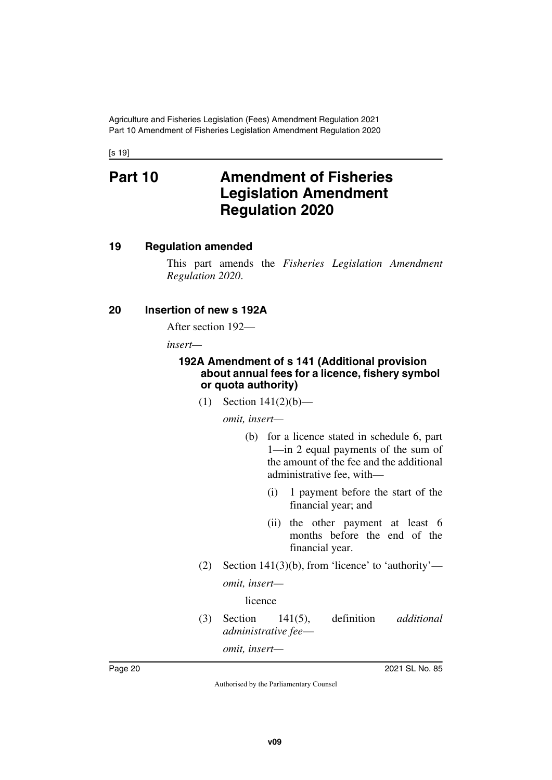<span id="page-19-1"></span><span id="page-19-0"></span>[s 19]

### **Part 10 Amendment of Fisheries Legislation Amendment Regulation 2020**

#### <span id="page-19-2"></span>**19 Regulation amended**

<span id="page-19-3"></span>This part amends the *Fisheries Legislation Amendment Regulation 2020*.

#### <span id="page-19-4"></span>**20 Insertion of new s 192A**

<span id="page-19-5"></span>After section 192—

*insert—*

#### <span id="page-19-7"></span><span id="page-19-6"></span>**192A Amendment of s 141 (Additional provision about annual fees for a licence, fishery symbol or quota authority)**

(1) Section 141(2)(b)—

*omit, insert—*

- (b) for a licence stated in schedule 6, part 1—in 2 equal payments of the sum of the amount of the fee and the additional administrative fee, with—
	- (i) 1 payment before the start of the financial year; and
	- (ii) the other payment at least 6 months before the end of the financial year.
- (2) Section  $141(3)(b)$ , from 'licence' to 'authority'—

*omit, insert—*

licence

(3) Section 141(5), definition *additional administrative fee*—

*omit, insert—*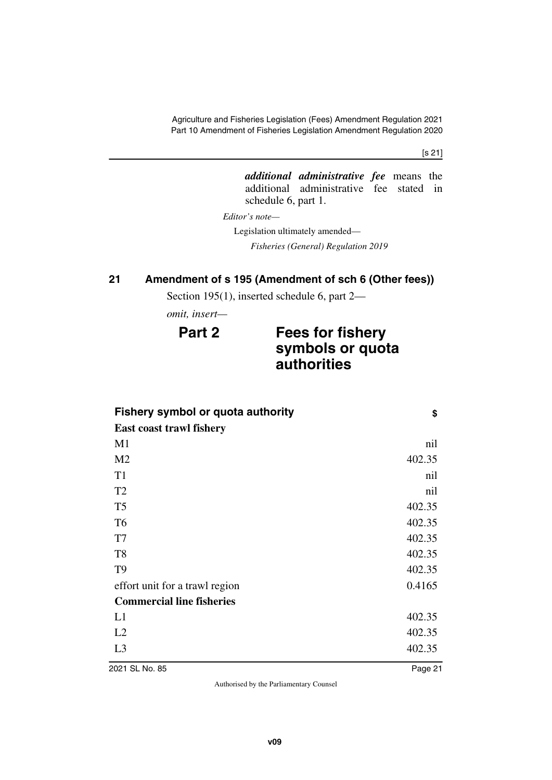Agriculture and Fisheries Legislation (Fees) Amendment Regulation 2021 Part 10 Amendment of Fisheries Legislation Amendment Regulation 2020

[s 21]

*additional administrative fee* means the additional administrative fee stated in schedule 6, part 1.

*Editor's note—*

Legislation ultimately amended—

*Fisheries (General) Regulation 2019*

### <span id="page-20-0"></span>**21 Amendment of s 195 (Amendment of sch 6 (Other fees))**

<span id="page-20-1"></span>Section 195(1), inserted schedule 6, part 2—

*omit, insert—*

### **Part 2 Fees for fishery symbols or quota authorities**

| <b>Fishery symbol or quota authority</b> |        |
|------------------------------------------|--------|
| <b>East coast trawl fishery</b>          |        |
| M <sub>1</sub>                           | nil    |
| M <sub>2</sub>                           | 402.35 |
| T <sub>1</sub>                           | nil    |
| T <sub>2</sub>                           | nil    |
| T <sub>5</sub>                           | 402.35 |
| T <sub>6</sub>                           | 402.35 |
| T7                                       | 402.35 |
| T <sub>8</sub>                           | 402.35 |
| T <sub>9</sub>                           | 402.35 |
| effort unit for a trawl region           | 0.4165 |
| <b>Commercial line fisheries</b>         |        |
| L1                                       | 402.35 |
| L2                                       | 402.35 |
| L <sub>3</sub>                           | 402.35 |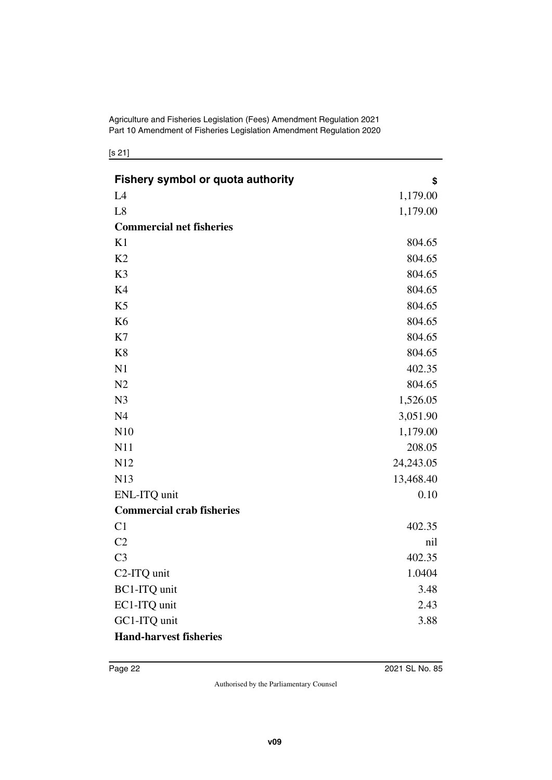Agriculture and Fisheries Legislation (Fees) Amendment Regulation 2021 Part 10 Amendment of Fisheries Legislation Amendment Regulation 2020

[s 21]

| <b>Fishery symbol or quota authority</b> | \$        |
|------------------------------------------|-----------|
| L4                                       | 1,179.00  |
| L8                                       | 1,179.00  |
| <b>Commercial net fisheries</b>          |           |
| K1                                       | 804.65    |
| K <sub>2</sub>                           | 804.65    |
| K <sub>3</sub>                           | 804.65    |
| K4                                       | 804.65    |
| K <sub>5</sub>                           | 804.65    |
| K <sub>6</sub>                           | 804.65    |
| K7                                       | 804.65    |
| K <sub>8</sub>                           | 804.65    |
| N1                                       | 402.35    |
| N <sub>2</sub>                           | 804.65    |
| N <sub>3</sub>                           | 1,526.05  |
| N <sub>4</sub>                           | 3,051.90  |
| N10                                      | 1,179.00  |
| N11                                      | 208.05    |
| N12                                      | 24,243.05 |
| N13                                      | 13,468.40 |
| ENL-ITQ unit                             | 0.10      |
| <b>Commercial crab fisheries</b>         |           |
| C1                                       | 402.35    |
| C2                                       | nil       |
| C <sub>3</sub>                           | 402.35    |
| C <sub>2</sub> -ITQ unit                 | 1.0404    |
| <b>BC1-ITQ</b> unit                      | 3.48      |
| EC1-ITQ unit                             | 2.43      |
| GC1-ITQ unit                             | 3.88      |
| <b>Hand-harvest fisheries</b>            |           |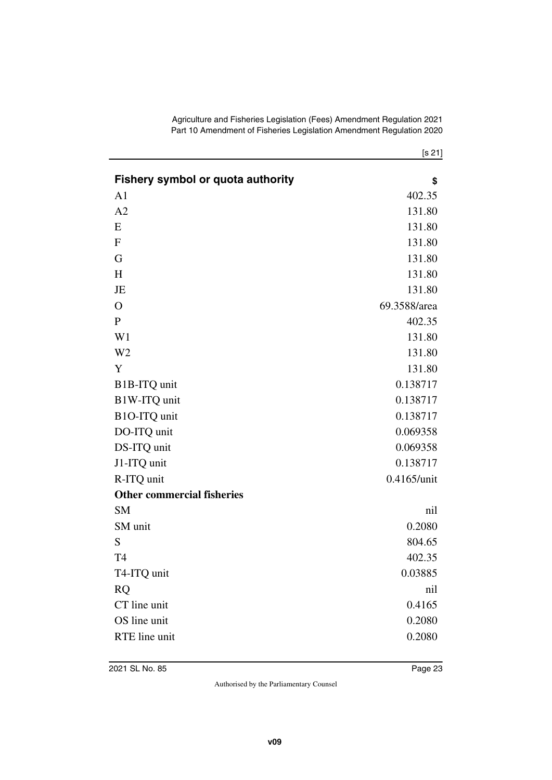| Agriculture and Fisheries Legislation (Fees) Amendment Regulation 2021 |  |
|------------------------------------------------------------------------|--|
| Part 10 Amendment of Fisheries Legislation Amendment Regulation 2020   |  |

|                                          | [s 21]       |
|------------------------------------------|--------------|
| <b>Fishery symbol or quota authority</b> | \$           |
| A <sub>1</sub>                           | 402.35       |
| A2                                       | 131.80       |
| E                                        | 131.80       |
| ${\bf F}$                                | 131.80       |
| G                                        | 131.80       |
| H                                        | 131.80       |
| JE                                       | 131.80       |
| $\mathbf{O}$                             | 69.3588/area |
| $\mathbf P$                              | 402.35       |
| W <sub>1</sub>                           | 131.80       |
| W <sub>2</sub>                           | 131.80       |
| Y                                        | 131.80       |
| B1B-ITQ unit                             | 0.138717     |
| B1W-ITQ unit                             | 0.138717     |
| B1O-ITQ unit                             | 0.138717     |
| DO-ITQ unit                              | 0.069358     |
| DS-ITQ unit                              | 0.069358     |
| J1-ITQ unit                              | 0.138717     |
| R-ITQ unit                               | 0.4165/unit  |
| <b>Other commercial fisheries</b>        |              |
| <b>SM</b>                                | nil          |
| SM unit                                  | 0.2080       |
| S                                        | 804.65       |
| T4                                       | 402.35       |
| T4-ITQ unit                              | 0.03885      |
| <b>RQ</b>                                | nil          |
| CT line unit                             | 0.4165       |
| OS line unit                             | 0.2080       |
| RTE line unit                            | 0.2080       |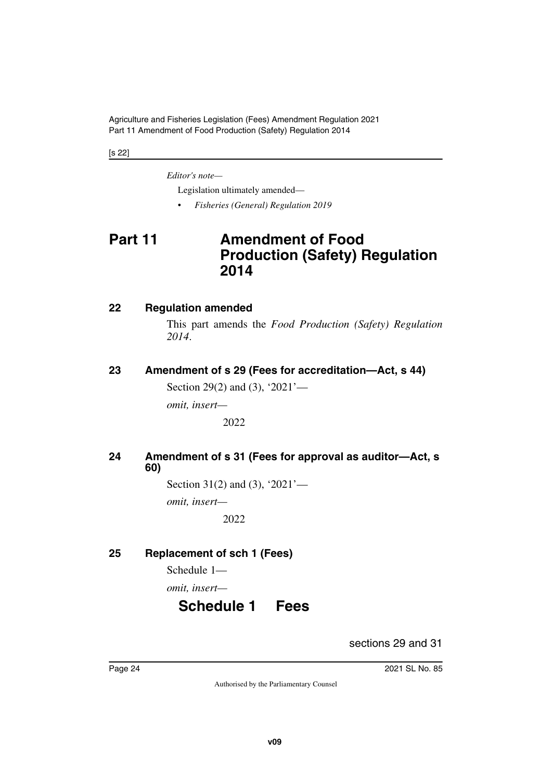Agriculture and Fisheries Legislation (Fees) Amendment Regulation 2021 Part 11 Amendment of Food Production (Safety) Regulation 2014

[s 22]

*Editor's note—*

Legislation ultimately amended—

<span id="page-23-1"></span>• *Fisheries (General) Regulation 2019*

### <span id="page-23-0"></span>**Part 11 Amendment of Food Production (Safety) Regulation 2014**

#### <span id="page-23-2"></span>**22 Regulation amended**

<span id="page-23-3"></span>This part amends the *Food Production (Safety) Regulation 2014*.

<span id="page-23-4"></span>**23 Amendment of s 29 (Fees for accreditation—Act, s 44)**

<span id="page-23-5"></span>Section 29(2) and (3), '2021'—

*omit, insert—*

2022

<span id="page-23-7"></span><span id="page-23-6"></span>**24 Amendment of s 31 (Fees for approval as auditor—Act, s 60)**

Section 31(2) and (3), '2021'—

*omit, insert—*

2022

### <span id="page-23-8"></span>**25 Replacement of sch 1 (Fees)**

<span id="page-23-9"></span>Schedule 1—

<span id="page-23-10"></span>*omit, insert—*

### **Schedule 1 Fees**

<span id="page-23-11"></span>sections 29 and 31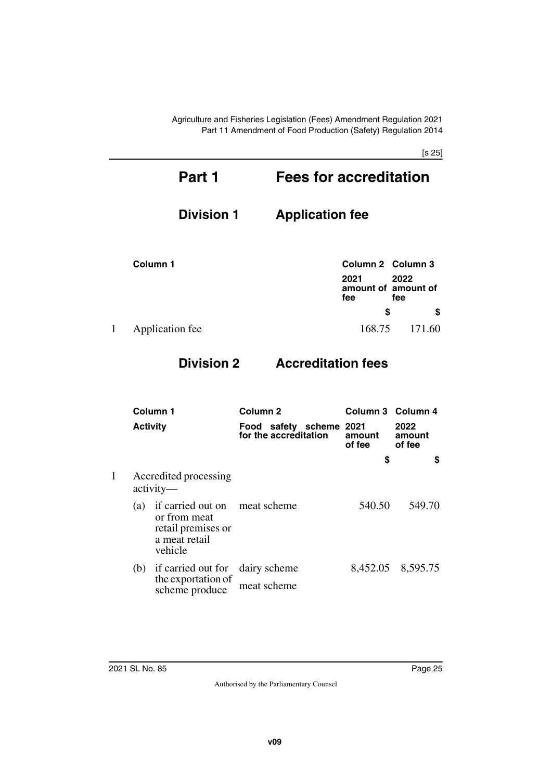Agriculture and Fisheries Legislation (Fees) Amendment Regulation 2021 Part 11 Amendment of Food Production (Safety) Regulation 2014

[s 25]

|   | Part 1            | <b>Fees for accreditation</b>                     |
|---|-------------------|---------------------------------------------------|
|   | <b>Division 1</b> | <b>Application fee</b>                            |
|   | Column 1          | Column 2 Column 3                                 |
|   |                   | 2022<br>2021<br>amount of amount of<br>fee<br>fee |
|   |                   | \$<br>S                                           |
| 1 | Application fee   | 168.75<br>171.60                                  |

### **Division 2 Accreditation fees**

| Column 1 | Column <sub>2</sub>                                            |                                                                                              |                               | Column 3 Column 4        |  |
|----------|----------------------------------------------------------------|----------------------------------------------------------------------------------------------|-------------------------------|--------------------------|--|
|          |                                                                | for the accreditation                                                                        | amount<br>of fee              | 2022<br>amount<br>of fee |  |
|          |                                                                |                                                                                              | \$                            | S                        |  |
|          |                                                                |                                                                                              |                               |                          |  |
| (a)      | or from meat<br>retail premises or<br>a meat retail<br>vehicle |                                                                                              | 540.50                        | 549.70                   |  |
|          | if carried out for                                             | dairy scheme                                                                                 |                               | 8,452.05 8,595.75        |  |
|          | scheme produce                                                 | meat scheme                                                                                  |                               |                          |  |
|          |                                                                | <b>Activity</b><br>Accredited processing<br>$\text{activity}$ —<br>(b)<br>the exportation of | if carried out on meat scheme | Food safety scheme 2021  |  |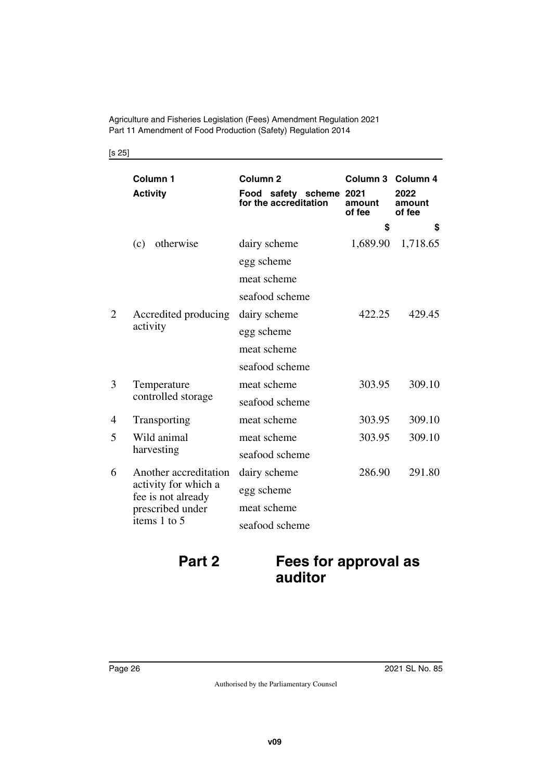Agriculture and Fisheries Legislation (Fees) Amendment Regulation 2021 Part 11 Amendment of Food Production (Safety) Regulation 2014

|   | Column 1<br><b>Activity</b>                                                                             | Column <sub>2</sub><br>Food safety scheme 2021<br>for the accreditation | Column 3 Column 4<br>amount<br>of fee | 2022<br>amount<br>of fee |
|---|---------------------------------------------------------------------------------------------------------|-------------------------------------------------------------------------|---------------------------------------|--------------------------|
|   |                                                                                                         |                                                                         | \$                                    | \$                       |
|   | otherwise<br>(c)                                                                                        | dairy scheme                                                            | 1,689.90                              | 1,718.65                 |
|   |                                                                                                         | egg scheme                                                              |                                       |                          |
|   |                                                                                                         | meat scheme                                                             |                                       |                          |
|   |                                                                                                         | seafood scheme                                                          |                                       |                          |
| 2 | Accredited producing                                                                                    | dairy scheme                                                            | 422.25                                | 429.45                   |
|   | activity                                                                                                | egg scheme                                                              |                                       |                          |
|   |                                                                                                         | meat scheme                                                             |                                       |                          |
|   |                                                                                                         | seafood scheme                                                          |                                       |                          |
| 3 | Temperature<br>controlled storage                                                                       | meat scheme                                                             | 303.95                                | 309.10                   |
|   |                                                                                                         | seafood scheme                                                          |                                       |                          |
| 4 | Transporting                                                                                            | meat scheme                                                             | 303.95                                | 309.10                   |
| 5 | Wild animal                                                                                             | meat scheme                                                             | 303.95                                | 309.10                   |
|   | harvesting                                                                                              | seafood scheme                                                          |                                       |                          |
| 6 | Another accreditation<br>activity for which a<br>fee is not already<br>prescribed under<br>items 1 to 5 | dairy scheme                                                            | 286.90                                | 291.80                   |
|   |                                                                                                         | egg scheme                                                              |                                       |                          |
|   |                                                                                                         | meat scheme                                                             |                                       |                          |
|   |                                                                                                         | seafood scheme                                                          |                                       |                          |

[s 25]

### **Part 2 Fees for approval as auditor**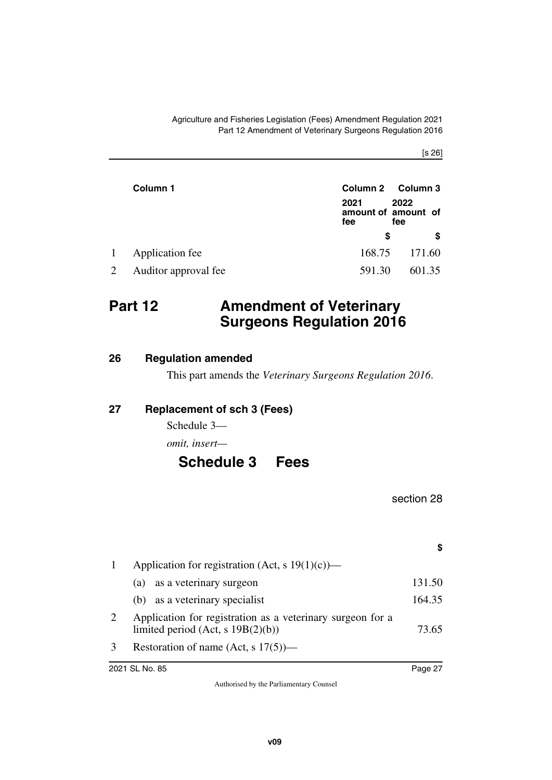[s 26]

|   | Column 1             |             | Column 2 Column 3                  |
|---|----------------------|-------------|------------------------------------|
|   |                      | 2021<br>fee | 2022<br>amount of amount of<br>fee |
|   |                      | S           | S                                  |
| 1 | Application fee      | 168.75      | 171.60                             |
|   | Auditor approval fee | 591.30      | 601.35                             |

### <span id="page-26-0"></span>**Part 12 Amendment of Veterinary Surgeons Regulation 2016**

#### <span id="page-26-2"></span>**26 Regulation amended**

<span id="page-26-5"></span><span id="page-26-3"></span><span id="page-26-1"></span>This part amends the *Veterinary Surgeons Regulation 2016*.

#### <span id="page-26-4"></span>**27 Replacement of sch 3 (Fees)**

Schedule 3—

*omit, insert—*

### <span id="page-26-7"></span><span id="page-26-6"></span>**Schedule 3 Fees**

section 28

**\$**

|   | Application for registration (Act, s $19(1)(c)$ )—                                                    |        |
|---|-------------------------------------------------------------------------------------------------------|--------|
|   | as a veterinary surgeon<br>(a)                                                                        | 131.50 |
|   | (b) as a veterinary specialist                                                                        | 164.35 |
| 2 | Application for registration as a veterinary surgeon for a<br>limited period (Act, $s$ 19B $(2)(b)$ ) | 73.65  |
|   | Restoration of name (Act, s $17(5)$ )—                                                                |        |
|   |                                                                                                       |        |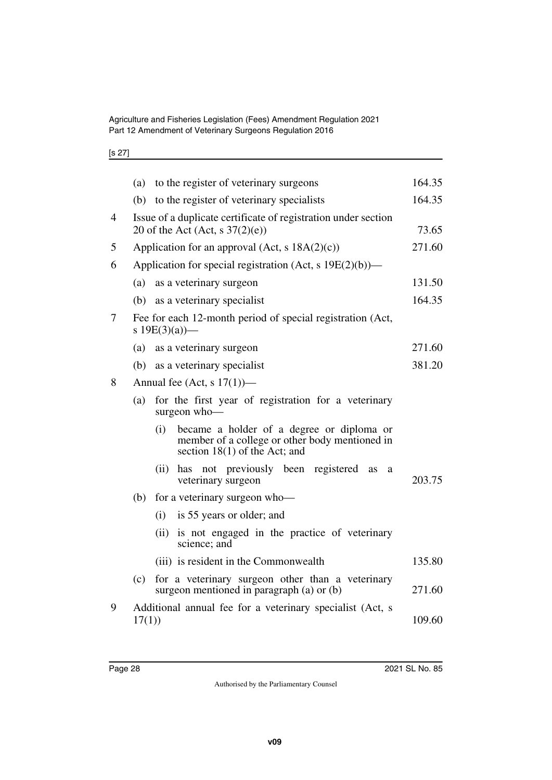Agriculture and Fisheries Legislation (Fees) Amendment Regulation 2021 Part 12 Amendment of Veterinary Surgeons Regulation 2016

|--|--|

|   | (a)   | to the register of veterinary surgeons                                                                                                | 164.35 |
|---|-------|---------------------------------------------------------------------------------------------------------------------------------------|--------|
|   |       | (b) to the register of veterinary specialists                                                                                         | 164.35 |
| 4 |       | Issue of a duplicate certificate of registration under section<br>20 of the Act (Act, s $37(2)(e)$ )                                  | 73.65  |
| 5 |       | Application for an approval (Act, $s$ 18A(2)(c))                                                                                      | 271.60 |
| 6 |       | Application for special registration (Act, s 19E(2)(b))—                                                                              |        |
|   | (a)   | as a veterinary surgeon                                                                                                               | 131.50 |
|   |       | (b) as a veterinary specialist                                                                                                        | 164.35 |
| 7 |       | Fee for each 12-month period of special registration (Act,<br>s $19E(3)(a)$ —                                                         |        |
|   | (a)   | as a veterinary surgeon                                                                                                               | 271.60 |
|   | (b)   | as a veterinary specialist                                                                                                            | 381.20 |
| 8 |       | Annual fee (Act, s $17(1)$ )—                                                                                                         |        |
|   | (a)   | for the first year of registration for a veterinary<br>surgeon who-                                                                   |        |
|   |       | became a holder of a degree or diploma or<br>(i)<br>member of a college or other body mentioned in<br>section $18(1)$ of the Act; and |        |
|   |       | has not previously been registered<br>(ii)<br>as<br>a<br>veterinary surgeon                                                           | 203.75 |
|   | (b)   | for a veterinary surgeon who-                                                                                                         |        |
|   |       | is 55 years or older; and<br>(i)                                                                                                      |        |
|   |       | is not engaged in the practice of veterinary<br>(ii)<br>science; and                                                                  |        |
|   |       | (iii) is resident in the Commonwealth                                                                                                 | 135.80 |
|   | (c)   | for a veterinary surgeon other than a veterinary<br>surgeon mentioned in paragraph (a) or (b)                                         | 271.60 |
| 9 | 17(1) | Additional annual fee for a veterinary specialist (Act, s                                                                             | 109.60 |
|   |       |                                                                                                                                       |        |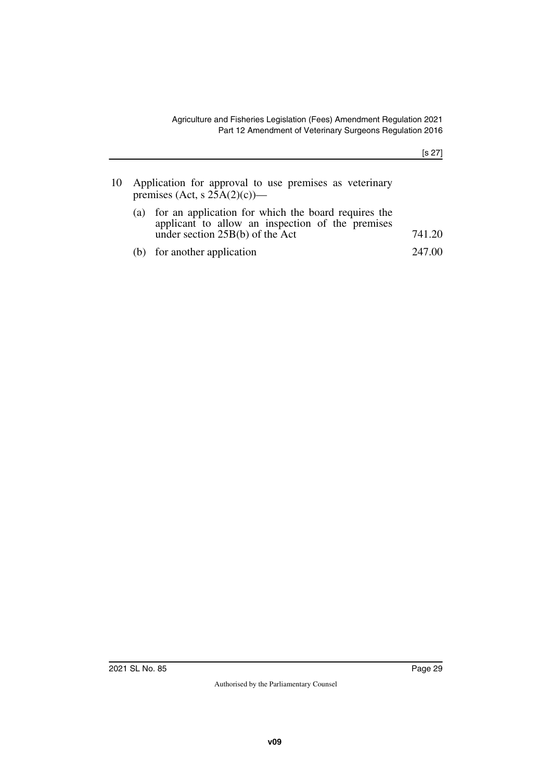|     | 10 Application for approval to use premises as veterinary<br>premises (Act, s $25A(2)(c)$ )—                                                 |        |
|-----|----------------------------------------------------------------------------------------------------------------------------------------------|--------|
| (a) | for an application for which the board requires the<br>applicant to allow an inspection of the premises<br>under section $25B(b)$ of the Act | 741.20 |
|     | (b) for another application                                                                                                                  | 247.00 |